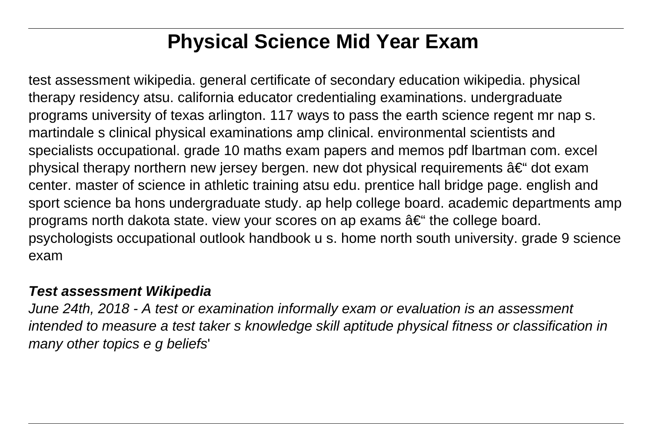# **Physical Science Mid Year Exam**

test assessment wikipedia. general certificate of secondary education wikipedia. physical therapy residency atsu. california educator credentialing examinations. undergraduate programs university of texas arlington. 117 ways to pass the earth science regent mr nap s. martindale s clinical physical examinations amp clinical. environmental scientists and specialists occupational. grade 10 maths exam papers and memos pdf lbartman com. excel physical therapy northern new jersey bergen. new dot physical requirements  $\hat{a}\epsilon^{\mu}$  dot exam center. master of science in athletic training atsu edu. prentice hall bridge page. english and sport science ba hons undergraduate study. ap help college board. academic departments amp programs north dakota state. view your scores on ap exams  $\hat{a} \in \hat{\mathfrak{m}}$  the college board. psychologists occupational outlook handbook u s. home north south university. grade 9 science exam

#### **Test assessment Wikipedia**

June 24th, 2018 - A test or examination informally exam or evaluation is an assessment intended to measure a test taker s knowledge skill aptitude physical fitness or classification in many other topics e g beliefs'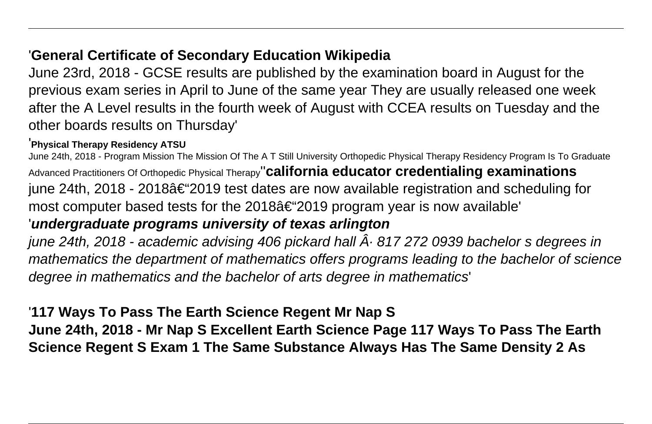### '**General Certificate of Secondary Education Wikipedia**

June 23rd, 2018 - GCSE results are published by the examination board in August for the previous exam series in April to June of the same year They are usually released one week after the A Level results in the fourth week of August with CCEA results on Tuesday and the other boards results on Thursday'

#### '**Physical Therapy Residency ATSU**

June 24th, 2018 - Program Mission The Mission Of The A T Still University Orthopedic Physical Therapy Residency Program Is To Graduate Advanced Practitioners Of Orthopedic Physical Therapy''**california educator credentialing examinations** iune 24th, 2018 - 2018†2019 test dates are now available registration and scheduling for most computer based tests for the  $2018\hat{a} \in \text{2019}$  program year is now available' '**undergraduate programs university of texas arlington** june 24th, 2018 - academic advising 406 pickard hall  $\hat{A}$  817 272 0939 bachelor s degrees in

mathematics the department of mathematics offers programs leading to the bachelor of science degree in mathematics and the bachelor of arts degree in mathematics'

### '**117 Ways To Pass The Earth Science Regent Mr Nap S**

**June 24th, 2018 - Mr Nap S Excellent Earth Science Page 117 Ways To Pass The Earth Science Regent S Exam 1 The Same Substance Always Has The Same Density 2 As**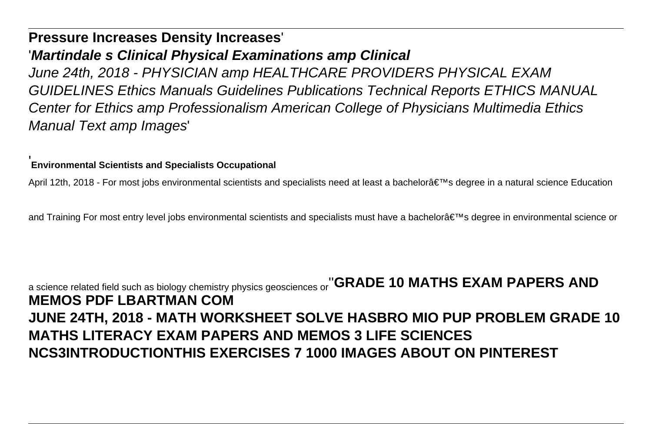#### **Pressure Increases Density Increases**'

#### '**Martindale s Clinical Physical Examinations amp Clinical**

June 24th, 2018 - PHYSICIAN amp HEALTHCARE PROVIDERS PHYSICAL EXAM GUIDELINES Ethics Manuals Guidelines Publications Technical Reports ETHICS MANUAL Center for Ethics amp Professionalism American College of Physicians Multimedia Ethics Manual Text amp Images'

#### '**Environmental Scientists and Specialists Occupational**

April 12th, 2018 - For most jobs environmental scientists and specialists need at least a bachelor's degree in a natural science Education

and Training For most entry level jobs environmental scientists and specialists must have a bachelor's degree in environmental science or

## a science related field such as biology chemistry physics geosciences or''**GRADE 10 MATHS EXAM PAPERS AND MEMOS PDF LBARTMAN COM JUNE 24TH, 2018 - MATH WORKSHEET SOLVE HASBRO MIO PUP PROBLEM GRADE 10 MATHS LITERACY EXAM PAPERS AND MEMOS 3 LIFE SCIENCES NCS3INTRODUCTIONTHIS EXERCISES 7 1000 IMAGES ABOUT ON PINTEREST**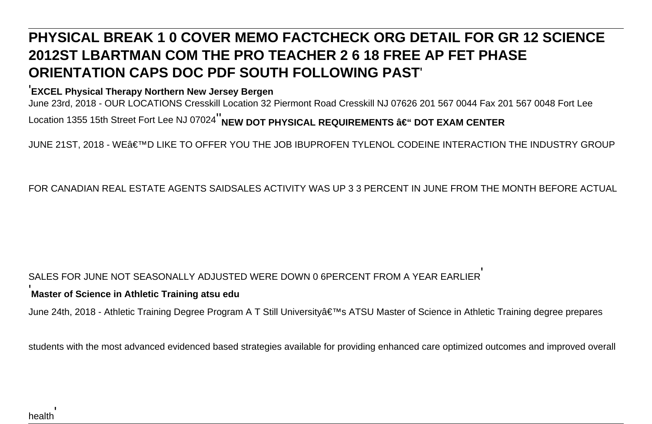## **PHYSICAL BREAK 1 0 COVER MEMO FACTCHECK ORG DETAIL FOR GR 12 SCIENCE 2012ST LBARTMAN COM THE PRO TEACHER 2 6 18 FREE AP FET PHASE ORIENTATION CAPS DOC PDF SOUTH FOLLOWING PAST**'

#### '**EXCEL Physical Therapy Northern New Jersey Bergen**

June 23rd, 2018 - OUR LOCATIONS Cresskill Location 32 Piermont Road Cresskill NJ 07626 201 567 0044 Fax 201 567 0048 Fort Lee Location 1355 15th Street Fort Lee NJ 07024<sup>"</sup>NEW DOT PHYSICAL REQUIREMENTS – DOT EXAM CENTER

JUNE 21ST, 2018 - WE'D LIKE TO OFFER YOU THE JOB IBUPROFEN TYLENOL CODEINE INTERACTION THE INDUSTRY GROUP

FOR CANADIAN REAL ESTATE AGENTS SAIDSALES ACTIVITY WAS UP 3 3 PERCENT IN JUNE FROM THE MONTH BEFORE ACTUAL

#### SALES FOR JUNE NOT SEASONALLY ADJUSTED WERE DOWN 0 6PERCENT FROM A YEAR EARLIER'

#### **Master of Science in Athletic Training atsu edu**

June 24th, 2018 - Athletic Training Degree Program A T Still University's ATSU Master of Science in Athletic Training degree prepares

students with the most advanced evidenced based strategies available for providing enhanced care optimized outcomes and improved overall

'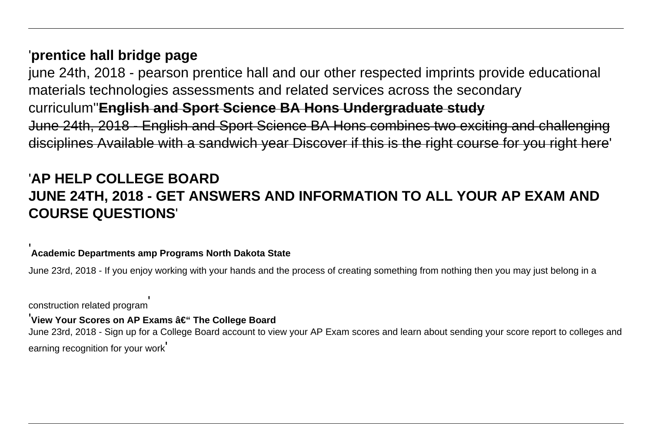#### '**prentice hall bridge page**

june 24th, 2018 - pearson prentice hall and our other respected imprints provide educational materials technologies assessments and related services across the secondary curriculum''**English and Sport Science BA Hons Undergraduate study** June 24th, 2018 - English and Sport Science BA Hons combines two exciting and challenging disciplines Available with a sandwich year Discover if this is the right course for you right here'

### '**AP HELP COLLEGE BOARD JUNE 24TH, 2018 - GET ANSWERS AND INFORMATION TO ALL YOUR AP EXAM AND COURSE QUESTIONS**'

#### '**Academic Departments amp Programs North Dakota State**

June 23rd, 2018 - If you enjoy working with your hands and the process of creating something from nothing then you may just belong in a

construction related program'

#### <sup>'</sup>View Your Scores on AP Exams – The College Board

June 23rd, 2018 - Sign up for a College Board account to view your AP Exam scores and learn about sending your score report to colleges and earning recognition for your work'